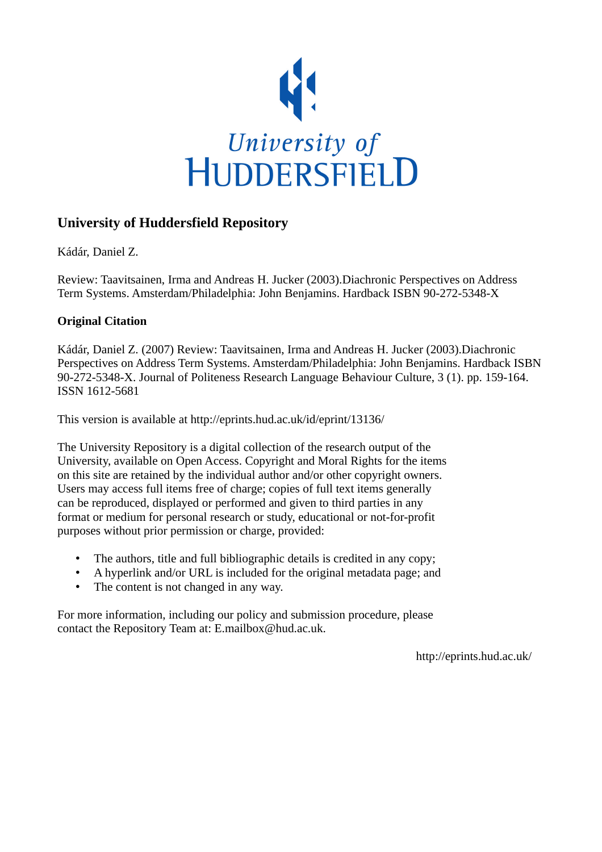

# **University of Huddersfield Repository**

Kádár, Daniel Z.

Review: Taavitsainen, Irma and Andreas H. Jucker (2003).Diachronic Perspectives on Address Term Systems. Amsterdam/Philadelphia: John Benjamins. Hardback ISBN 90-272-5348-X

# **Original Citation**

Kádár, Daniel Z. (2007) Review: Taavitsainen, Irma and Andreas H. Jucker (2003).Diachronic Perspectives on Address Term Systems. Amsterdam/Philadelphia: John Benjamins. Hardback ISBN 90-272-5348-X. Journal of Politeness Research Language Behaviour Culture, 3 (1). pp. 159-164. ISSN 1612-5681

This version is available at http://eprints.hud.ac.uk/id/eprint/13136/

The University Repository is a digital collection of the research output of the University, available on Open Access. Copyright and Moral Rights for the items on this site are retained by the individual author and/or other copyright owners. Users may access full items free of charge; copies of full text items generally can be reproduced, displayed or performed and given to third parties in any format or medium for personal research or study, educational or not-for-profit purposes without prior permission or charge, provided:

- The authors, title and full bibliographic details is credited in any copy;
- A hyperlink and/or URL is included for the original metadata page; and
- The content is not changed in any way.

For more information, including our policy and submission procedure, please contact the Repository Team at: E.mailbox@hud.ac.uk.

http://eprints.hud.ac.uk/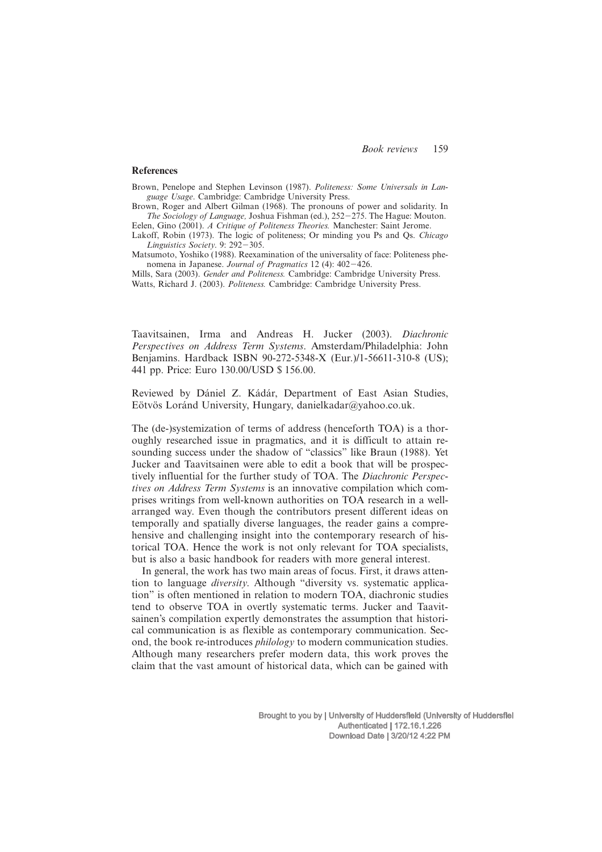#### **References**

Brown, Penelope and Stephen Levinson (1987). *Politeness: Some Universals in Language Usage*. Cambridge: Cambridge University Press.

Brown, Roger and Albert Gilman (1968). The pronouns of power and solidarity. In *The Sociology of Language, Joshua Fishman (ed.), 252–275. The Hague: Mouton.* Eelen, Gino (2001). *A Critique of Politeness Theories.* Manchester: Saint Jerome.

Lakoff, Robin (1973). The logic of politeness; Or minding you Ps and Qs. *Chicago Linguistics Society*. 9: 292-305.

Matsumoto, Yoshiko (1988). Reexamination of the universality of face: Politeness phenomena in Japanese. *Journal of Pragmatics* 12 (4): 402-426.

Mills, Sara (2003). *Gender and Politeness.* Cambridge: Cambridge University Press. Watts, Richard J. (2003). *Politeness.* Cambridge: Cambridge University Press.

Taavitsainen, Irma and Andreas H. Jucker (2003). *Diachronic Perspectives on Address Term Systems*. Amsterdam/Philadelphia: John Benjamins. Hardback ISBN 90-272-5348-X (Eur.)/1-56611-310-8 (US); 441 pp. Price: Euro 130.00/USD \$ 156.00.

Reviewed by Dániel Z. Kádár, Department of East Asian Studies, Eötvös Loránd University, Hungary, danielkadar@yahoo.co.uk.

The (de-)systemization of terms of address (henceforth TOA) is a thoroughly researched issue in pragmatics, and it is difficult to attain resounding success under the shadow of "classics" like Braun (1988). Yet Jucker and Taavitsainen were able to edit a book that will be prospectively influential for the further study of TOA. The *Diachronic Perspectives on Address Term Systems* is an innovative compilation which comprises writings from well-known authorities on TOA research in a wellarranged way. Even though the contributors present different ideas on temporally and spatially diverse languages, the reader gains a comprehensive and challenging insight into the contemporary research of historical TOA. Hence the work is not only relevant for TOA specialists, but is also a basic handbook for readers with more general interest.

In general, the work has two main areas of focus. First, it draws attention to language *diversity*. Although "diversity vs. systematic application" is often mentioned in relation to modern TOA, diachronic studies tend to observe TOA in overtly systematic terms. Jucker and Taavitsainen's compilation expertly demonstrates the assumption that historical communication is as flexible as contemporary communication. Second, the book re-introduces *philology* to modern communication studies. Although many researchers prefer modern data, this work proves the claim that the vast amount of historical data, which can be gained with

> Brought to you by | University of Huddersfield (University of Huddersfiel Authenticated | 172.16.1.226 Download Date | 3/20/12 4:22 PM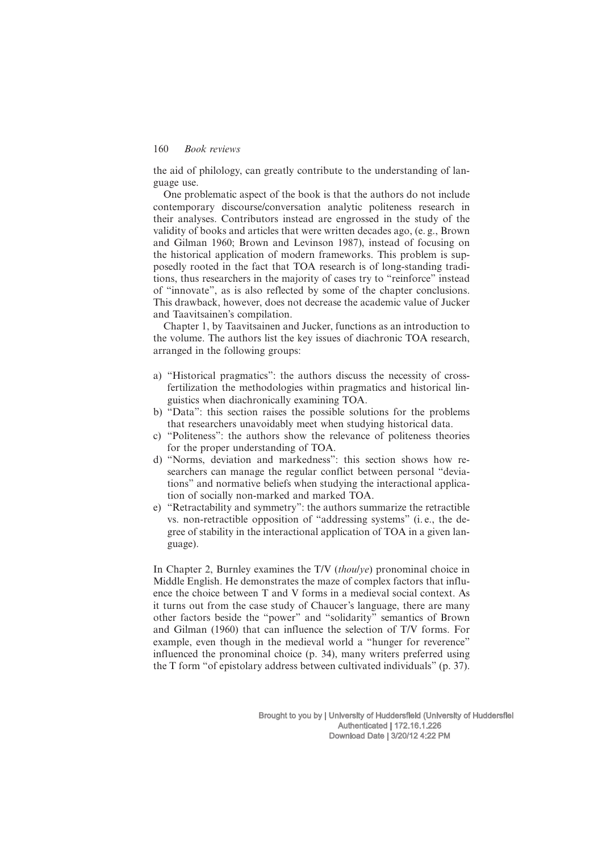#### 160 *Book reviews*

the aid of philology, can greatly contribute to the understanding of language use.

One problematic aspect of the book is that the authors do not include contemporary discourse/conversation analytic politeness research in their analyses. Contributors instead are engrossed in the study of the validity of books and articles that were written decades ago, (e. g., Brown and Gilman 1960; Brown and Levinson 1987), instead of focusing on the historical application of modern frameworks. This problem is supposedly rooted in the fact that TOA research is of long-standing traditions, thus researchers in the majority of cases try to "reinforce" instead of "innovate", as is also reflected by some of the chapter conclusions. This drawback, however, does not decrease the academic value of Jucker and Taavitsainen's compilation.

Chapter 1, by Taavitsainen and Jucker, functions as an introduction to the volume. The authors list the key issues of diachronic TOA research, arranged in the following groups:

- a) "Historical pragmatics": the authors discuss the necessity of crossfertilization the methodologies within pragmatics and historical linguistics when diachronically examining TOA.
- b) "Data": this section raises the possible solutions for the problems that researchers unavoidably meet when studying historical data.
- c) "Politeness": the authors show the relevance of politeness theories for the proper understanding of TOA.
- d) "Norms, deviation and markedness": this section shows how researchers can manage the regular conflict between personal "deviations" and normative beliefs when studying the interactional application of socially non-marked and marked TOA.
- e) "Retractability and symmetry": the authors summarize the retractible vs. non-retractible opposition of "addressing systems" (i. e., the degree of stability in the interactional application of TOA in a given language).

In Chapter 2, Burnley examines the T/V (*thou/ye*) pronominal choice in Middle English. He demonstrates the maze of complex factors that influence the choice between T and V forms in a medieval social context. As it turns out from the case study of Chaucer's language, there are many other factors beside the "power" and "solidarity" semantics of Brown and Gilman (1960) that can influence the selection of T/V forms. For example, even though in the medieval world a "hunger for reverence" influenced the pronominal choice (p. 34), many writers preferred using the T form "of epistolary address between cultivated individuals" (p. 37).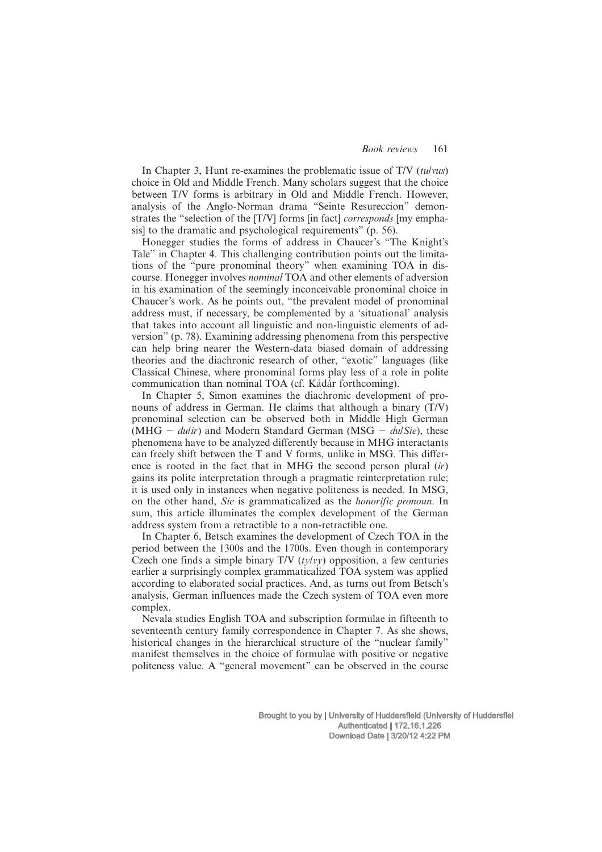In Chapter 3, Hunt re-examines the problematic issue of T/V (*tu*/*vus*) choice in Old and Middle French. Many scholars suggest that the choice between T/V forms is arbitrary in Old and Middle French. However, analysis of the Anglo-Norman drama "Seinte Resureccion" demonstrates the "selection of the [T/V] forms [in fact] *corresponds* [my emphasis] to the dramatic and psychological requirements" (p. 56).

Honegger studies the forms of address in Chaucer's "The Knight's Tale" in Chapter 4. This challenging contribution points out the limitations of the "pure pronominal theory" when examining TOA in discourse. Honegger involves *nominal* TOA and other elements of adversion in his examination of the seemingly inconceivable pronominal choice in Chaucer's work. As he points out, "the prevalent model of pronominal address must, if necessary, be complemented by a 'situational' analysis that takes into account all linguistic and non-linguistic elements of adversion" (p. 78). Examining addressing phenomena from this perspective can help bring nearer the Western-data biased domain of addressing theories and the diachronic research of other, "exotic" languages (like Classical Chinese, where pronominal forms play less of a role in polite communication than nominal TOA (cf. Kádár forthcoming).

In Chapter 5, Simon examines the diachronic development of pronouns of address in German. He claims that although a binary (T/V) pronominal selection can be observed both in Middle High German (MHG  $-$  *dulir*) and Modern Standard German (MSG  $-$  *dul Sie*), these phenomena have to be analyzed differently because in MHG interactants can freely shift between the T and V forms, unlike in MSG. This difference is rooted in the fact that in MHG the second person plural (*ir*) gains its polite interpretation through a pragmatic reinterpretation rule; it is used only in instances when negative politeness is needed. In MSG, on the other hand, *Sie* is grammaticalized as the *honorific pronoun*. In sum, this article illuminates the complex development of the German address system from a retractible to a non-retractible one.

In Chapter 6, Betsch examines the development of Czech TOA in the period between the 1300s and the 1700s. Even though in contemporary Czech one finds a simple binary T/V (*ty*/*vy*) opposition, a few centuries earlier a surprisingly complex grammaticalized TOA system was applied according to elaborated social practices. And, as turns out from Betsch's analysis, German influences made the Czech system of TOA even more complex.

Nevala studies English TOA and subscription formulae in fifteenth to seventeenth century family correspondence in Chapter 7. As she shows, historical changes in the hierarchical structure of the "nuclear family" manifest themselves in the choice of formulae with positive or negative politeness value. A "general movement" can be observed in the course

> Brought to you by | University of Huddersfield (University of Huddersfiel Authenticated | 172.16.1.226 Download Date | 3/20/12 4:22 PM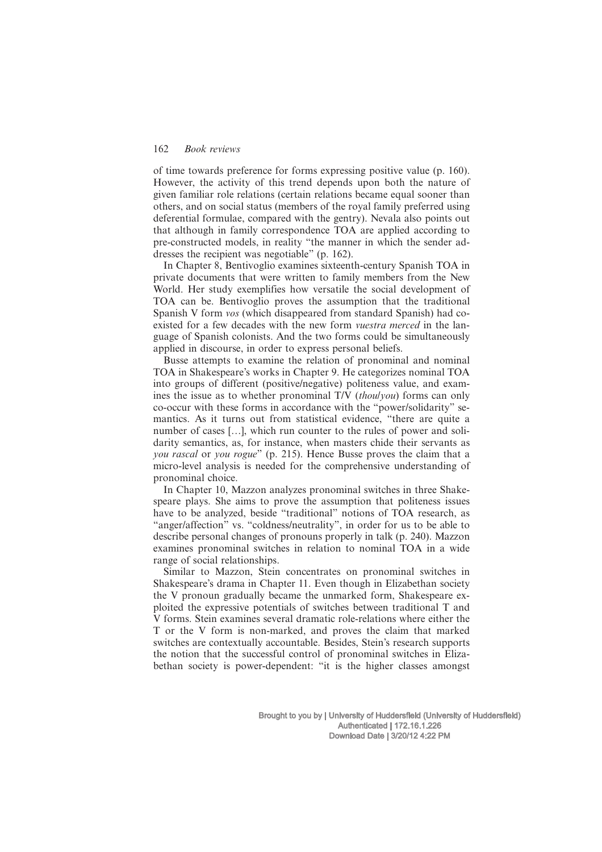### 162 *Book reviews*

of time towards preference for forms expressing positive value (p. 160). However, the activity of this trend depends upon both the nature of given familiar role relations (certain relations became equal sooner than others, and on social status (members of the royal family preferred using deferential formulae, compared with the gentry). Nevala also points out that although in family correspondence TOA are applied according to pre-constructed models, in reality "the manner in which the sender addresses the recipient was negotiable" (p. 162).

In Chapter 8, Bentivoglio examines sixteenth-century Spanish TOA in private documents that were written to family members from the New World. Her study exemplifies how versatile the social development of TOA can be. Bentivoglio proves the assumption that the traditional Spanish V form *vos* (which disappeared from standard Spanish) had coexisted for a few decades with the new form *vuestra merced* in the language of Spanish colonists. And the two forms could be simultaneously applied in discourse, in order to express personal beliefs.

Busse attempts to examine the relation of pronominal and nominal TOA in Shakespeare's works in Chapter 9. He categorizes nominal TOA into groups of different (positive/negative) politeness value, and examines the issue as to whether pronominal T/V (*thou*/*you*) forms can only co-occur with these forms in accordance with the "power/solidarity" semantics. As it turns out from statistical evidence, "there are quite a number of cases […], which run counter to the rules of power and solidarity semantics, as, for instance, when masters chide their servants as *you rascal* or *you rogue*" (p. 215). Hence Busse proves the claim that a micro-level analysis is needed for the comprehensive understanding of pronominal choice.

In Chapter 10, Mazzon analyzes pronominal switches in three Shakespeare plays. She aims to prove the assumption that politeness issues have to be analyzed, beside "traditional" notions of TOA research, as "anger/affection" vs. "coldness/neutrality", in order for us to be able to describe personal changes of pronouns properly in talk (p. 240). Mazzon examines pronominal switches in relation to nominal TOA in a wide range of social relationships.

Similar to Mazzon, Stein concentrates on pronominal switches in Shakespeare's drama in Chapter 11. Even though in Elizabethan society the V pronoun gradually became the unmarked form, Shakespeare exploited the expressive potentials of switches between traditional T and V forms. Stein examines several dramatic role-relations where either the T or the V form is non-marked, and proves the claim that marked switches are contextually accountable. Besides, Stein's research supports the notion that the successful control of pronominal switches in Elizabethan society is power-dependent: "it is the higher classes amongst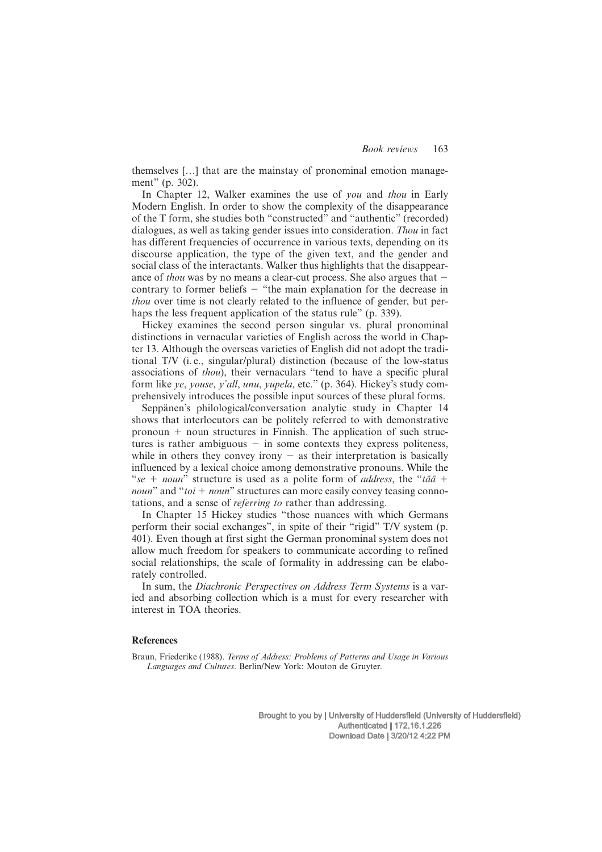themselves […] that are the mainstay of pronominal emotion management" (p. 302).

In Chapter 12, Walker examines the use of *you* and *thou* in Early Modern English. In order to show the complexity of the disappearance of the T form, she studies both "constructed" and "authentic" (recorded) dialogues, as well as taking gender issues into consideration. *Thou* in fact has different frequencies of occurrence in various texts, depending on its discourse application, the type of the given text, and the gender and social class of the interactants. Walker thus highlights that the disappearance of *thou* was by no means a clear-cut process. She also argues that  $$ contrary to former beliefs  $-$  "the main explanation for the decrease in *thou* over time is not clearly related to the influence of gender, but perhaps the less frequent application of the status rule" (p. 339).

Hickey examines the second person singular vs. plural pronominal distinctions in vernacular varieties of English across the world in Chapter 13. Although the overseas varieties of English did not adopt the traditional T/V (i. e., singular/plural) distinction (because of the low-status associations of *thou*), their vernaculars "tend to have a specific plural form like *ye*, *youse*, *y'all*, *unu*, *yupela*, etc." (p. 364). Hickey's study comprehensively introduces the possible input sources of these plural forms.

Seppänen's philological/conversation analytic study in Chapter 14 shows that interlocutors can be politely referred to with demonstrative pronoun  $+$  noun structures in Finnish. The application of such structures is rather ambiguous  $-$  in some contexts they express politeness, while in others they convey irony  $-$  as their interpretation is basically influenced by a lexical choice among demonstrative pronouns. While the " $se + noun$ " structure is used as a polite form of *address*, the "*tää* + *noun*" and " $\omega$ <sup>\*</sup> *toi* + *noun*" structures can more easily convey teasing connotations, and a sense of *referring to* rather than addressing.

In Chapter 15 Hickey studies "those nuances with which Germans perform their social exchanges", in spite of their "rigid" T/V system (p. 401). Even though at first sight the German pronominal system does not allow much freedom for speakers to communicate according to refined social relationships, the scale of formality in addressing can be elaborately controlled.

In sum, the *Diachronic Perspectives on Address Term Systems* is a varied and absorbing collection which is a must for every researcher with interest in TOA theories.

#### **References**

Braun, Friederike (1988). *Terms of Address: Problems of Patterns and Usage in Various Languages and Cultures*. Berlin/New York: Mouton de Gruyter.

> Brought to you by | University of Huddersfield (University of Huddersfield) Authenticated | 172.16.1.226 Download Date | 3/20/12 4:22 PM